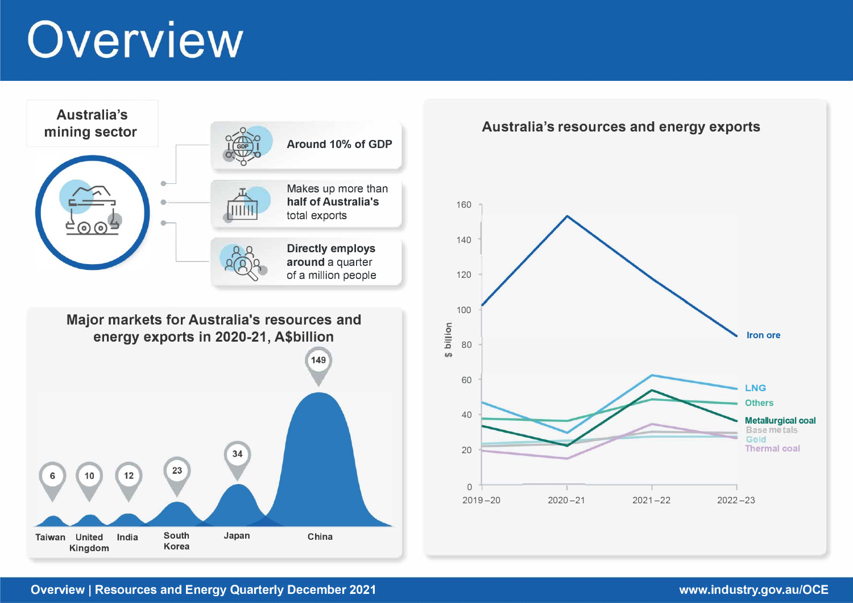# Overview



# **Overview** I **Resources and Energy Quarterly December 2021 www.industry.gov.au/OCE**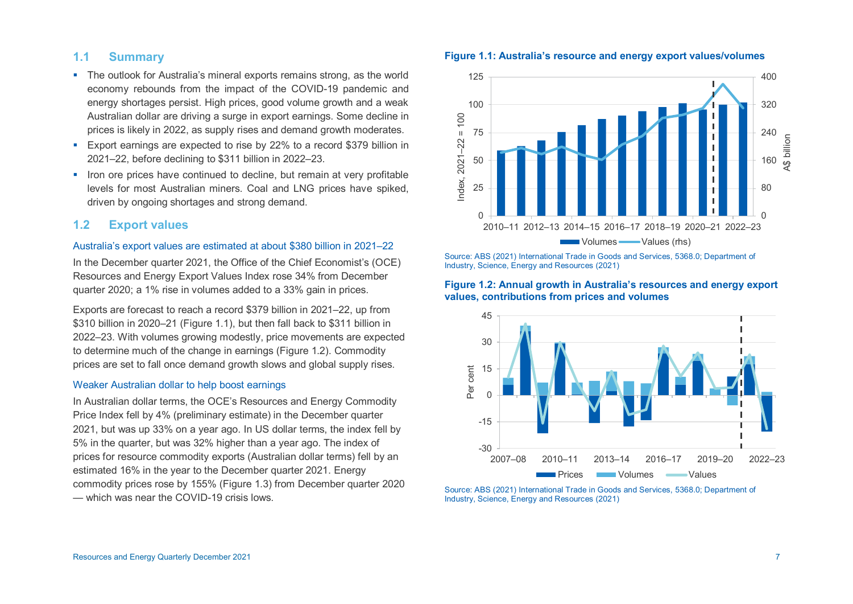# **1.1 Summary**

- The outlook for Australia's mineral exports remains strong, as the world economy rebounds from the impact of the COVID-19 pandemic and energy shortages persist. High prices, good volume growth and a weak Australian dollar are driving a surge in export earnings. Some decline in prices is likely in 2022, as supply rises and demand growth moderates.
- Export earnings are expected to rise by 22% to a record \$379 billion in 2021–22, before declining to \$311 billion in 2022–23.
- Iron ore prices have continued to decline, but remain at very profitable levels for most Australian miners. Coal and LNG prices have spiked, driven by ongoing shortages and strong demand.

# **1.2 Export values**

#### Australia's export values are estimated at about \$380 billion in 2021–22

In the December quarter 2021, the Office of the Chief Economist's (OCE) Resources and Energy Export Values Index rose 34% from December quarter 2020; a 1% rise in volumes added to a 33% gain in prices.

Exports are forecast to reach a record \$379 billion in 2021–22, up from \$310 billion in 2020–21 (Figure 1.1), but then fall back to \$311 billion in 2022–23. With volumes growing modestly, price movements are expected to determine much of the change in earnings (Figure 1.2). Commodity prices are set to fall once demand growth slows and global supply rises.

#### Weaker Australian dollar to help boost earnings

In Australian dollar terms, the OCE's Resources and Energy Commodity Price Index fell by 4% (preliminary estimate) in the December quarter 2021, but was up 33% on a year ago. In US dollar terms, the index fell by 5% in the quarter, but was 32% higher than a year ago. The index of prices for resource commodity exports (Australian dollar terms) fell by an estimated 16% in the year to the December quarter 2021. Energy commodity prices rose by 155% (Figure 1.3) from December quarter 2020 — which was near the COVID-19 crisis lows.



#### **Figure 1.1: Australia's resource and energy export values/volumes**



## **Figure 1.2: Annual growth in Australia's resources and energy export values, contributions from prices and volumes**



Source: ABS (2021) International Trade in Goods and Services, 5368.0; Department of Industry, Science, Energy and Resources (2021)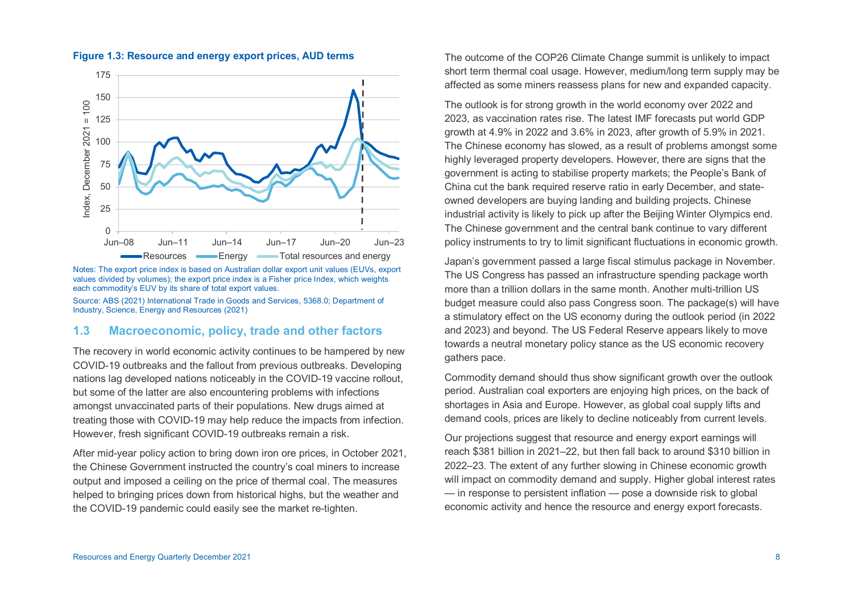

**Figure 1.3: Resource and energy export prices, AUD terms** 

Notes: The export price index is based on Australian dollar export unit values (EUVs, export values divided by volumes); the export price index is a Fisher price Index, which weights each commodity's EUV by its share of total export values.

Source: ABS (2021) International Trade in Goods and Services, 5368.0; Department of Industry, Science, Energy and Resources (2021)

# **1.3 Macroeconomic, policy, trade and other factors**

The recovery in world economic activity continues to be hampered by new COVID-19 outbreaks and the fallout from previous outbreaks. Developing nations lag developed nations noticeably in the COVID-19 vaccine rollout, but some of the latter are also encountering problems with infections amongst unvaccinated parts of their populations. New drugs aimed at treating those with COVID-19 may help reduce the impacts from infection. However, fresh significant COVID-19 outbreaks remain a risk.

After mid-year policy action to bring down iron ore prices, in October 2021, the Chinese Government instructed the country's coal miners to increase output and imposed a ceiling on the price of thermal coal. The measures helped to bringing prices down from historical highs, but the weather and the COVID-19 pandemic could easily see the market re-tighten.

The outcome of the COP26 Climate Change summit is unlikely to impact short term thermal coal usage. However, medium/long term supply may be affected as some miners reassess plans for new and expanded capacity.

The outlook is for strong growth in the world economy over 2022 and 2023, as vaccination rates rise. The latest IMF forecasts put world GDP growth at 4.9% in 2022 and 3.6% in 2023, after growth of 5.9% in 2021. The Chinese economy has slowed, as a result of problems amongst some highly leveraged property developers. However, there are signs that the government is acting to stabilise property markets; the People's Bank of China cut the bank required reserve ratio in early December, and stateowned developers are buying landing and building projects. Chinese industrial activity is likely to pick up after the Beijing Winter Olympics end. The Chinese government and the central bank continue to vary different policy instruments to try to limit significant fluctuations in economic growth.

Japan's government passed a large fiscal stimulus package in November. The US Congress has passed an infrastructure spending package worth more than a trillion dollars in the same month. Another multi-trillion US budget measure could also pass Congress soon. The package(s) will have a stimulatory effect on the US economy during the outlook period (in 2022 and 2023) and beyond. The US Federal Reserve appears likely to move towards a neutral monetary policy stance as the US economic recovery gathers pace.

Commodity demand should thus show significant growth over the outlook period. Australian coal exporters are enjoying high prices, on the back of shortages in Asia and Europe. However, as global coal supply lifts and demand cools, prices are likely to decline noticeably from current levels.

Our projections suggest that resource and energy export earnings will reach \$381 billion in 2021–22, but then fall back to around \$310 billion in 2022–23. The extent of any further slowing in Chinese economic growth will impact on commodity demand and supply. Higher global interest rates — in response to persistent inflation — pose a downside risk to global economic activity and hence the resource and energy export forecasts.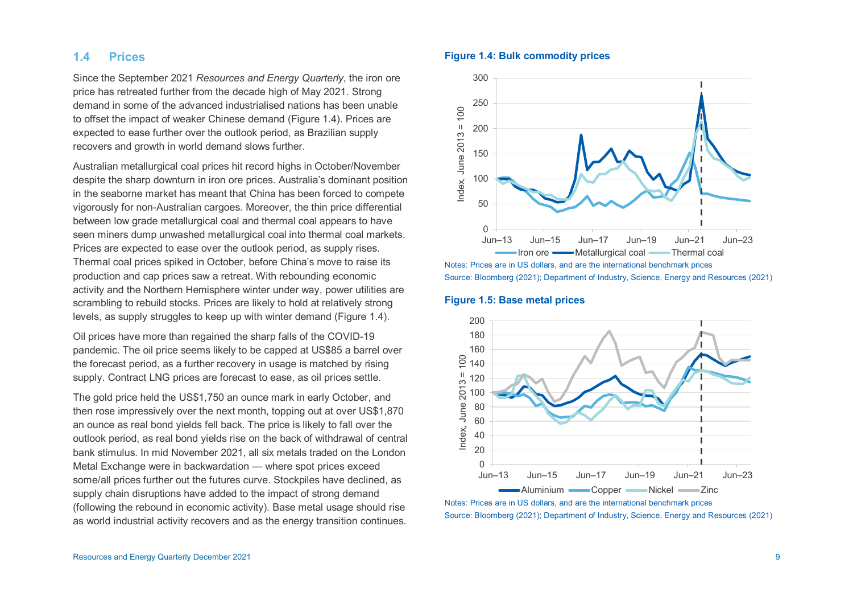# **1.4 Prices**

Since the September 2021 *Resources and Energy Quarterly*, the iron ore price has retreated further from the decade high of May 2021. Strong demand in some of the advanced industrialised nations has been unable to offset the impact of weaker Chinese demand (Figure 1.4). Prices are expected to ease further over the outlook period, as Brazilian supply recovers and growth in world demand slows further.

Australian metallurgical coal prices hit record highs in October/November despite the sharp downturn in iron ore prices. Australia's dominant position in the seaborne market has meant that China has been forced to compete vigorously for non-Australian cargoes. Moreover, the thin price differential between low grade metallurgical coal and thermal coal appears to have seen miners dump unwashed metallurgical coal into thermal coal markets. Prices are expected to ease over the outlook period, as supply rises. Thermal coal prices spiked in October, before China's move to raise its production and cap prices saw a retreat. With rebounding economic activity and the Northern Hemisphere winter under way, power utilities are scrambling to rebuild stocks. Prices are likely to hold at relatively strong levels, as supply struggles to keep up with winter demand (Figure 1.4).

Oil prices have more than regained the sharp falls of the COVID-19 pandemic. The oil price seems likely to be capped at US\$85 a barrel over the forecast period, as a further recovery in usage is matched by rising supply. Contract LNG prices are forecast to ease, as oil prices settle.

The gold price held the US\$1,750 an ounce mark in early October, and then rose impressively over the next month, topping out at over US\$1,870 an ounce as real bond yields fell back. The price is likely to fall over the outlook period, as real bond yields rise on the back of withdrawal of central bank stimulus. In mid November 2021, all six metals traded on the London Metal Exchange were in backwardation — where spot prices exceed some/all prices further out the futures curve. Stockpiles have declined, as supply chain disruptions have added to the impact of strong demand (following the rebound in economic activity). Base metal usage should rise as world industrial activity recovers and as the energy transition continues.

# **Figure 1.4: Bulk commodity prices**



Notes: Prices are in US dollars, and are the international benchmark prices Source: Bloomberg (2021); Department of Industry, Science, Energy and Resources (2021)

#### **Figure 1.5: Base metal prices**

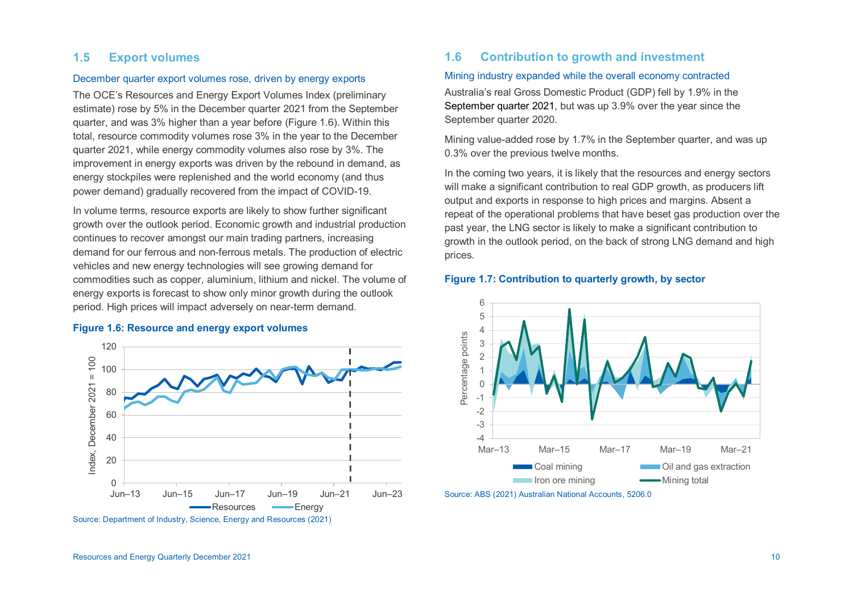# **1.5 Export volumes**

#### December quarter export volumes rose, driven by energy exports

The OCE's Resources and Energy Export Volumes Index (preliminary estimate) rose by 5% in the December quarter 2021 from the September quarter, and was 3% higher than a year before (Figure 1.6). Within this total, resource commodity volumes rose 3% in the year to the December quarter 2021, while energy commodity volumes also rose by 3%. The improvement in energy exports was driven by the rebound in demand, as energy stockpiles were replenished and the world economy (and thus power demand) gradually recovered from the impact of COVID-19.

In volume terms, resource exports are likely to show further significant growth over the outlook period. Economic growth and industrial production continues to recover amongst our main trading partners, increasing demand for our ferrous and non-ferrous metals. The production of electric vehicles and new energy technologies will see growing demand for commodities such as copper, aluminium, lithium and nickel. The volume of energy exports is forecast to show only minor growth during the outlook period. High prices will impact adversely on near-term demand.

#### **Figure 1.6: Resource and energy export volumes**





# **1.6 Contribution to growth and investment**

#### Mining industry expanded while the overall economy contracted

Australia's real Gross Domestic Product (GDP) fell by 1.9% in the September quarter 2021, but was up 3.9% over the year since the September quarter 2020.

Mining value-added rose by 1.7% in the September quarter, and was up 0.3% over the previous twelve months.

In the coming two years, it is likely that the resources and energy sectors will make a significant contribution to real GDP growth, as producers lift output and exports in response to high prices and margins. Absent a repeat of the operational problems that have beset gas production over the past year, the LNG sector is likely to make a significant contribution to growth in the outlook period, on the back of strong LNG demand and high prices.

## **Figure 1.7: Contribution to quarterly growth, by sector**



Source: ABS (2021) Australian National Accounts, 5206.0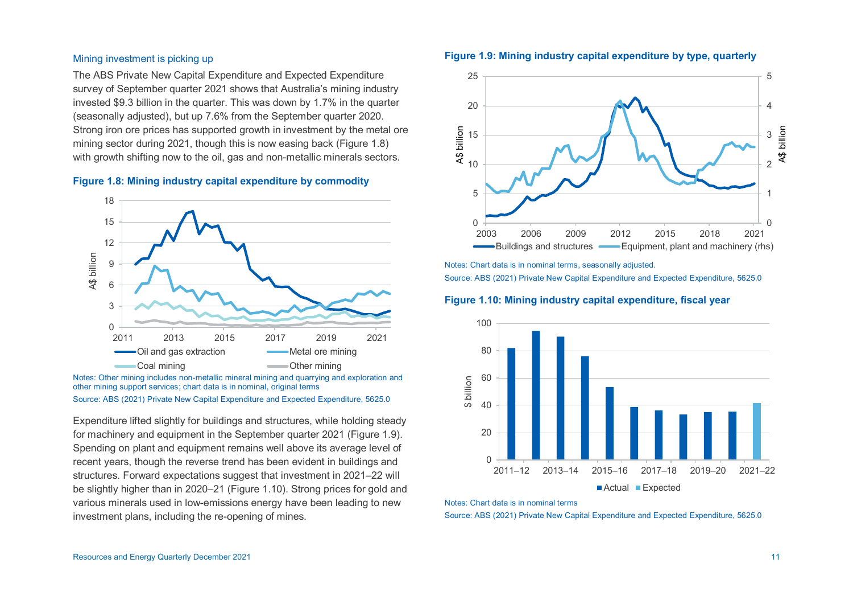#### Mining investment is picking up

The ABS Private New Capital Expenditure and Expected Expenditure survey of September quarter 2021 shows that Australia's mining industry invested \$9.3 billion in the quarter. This was down by 1.7% in the quarter (seasonally adjusted), but up 7.6% from the September quarter 2020. Strong iron ore prices has supported growth in investment by the metal ore mining sector during 2021, though this is now easing back (Figure 1.8) with growth shifting now to the oil, gas and non-metallic minerals sectors.





Notes: Other mining includes non-metallic mineral mining and quarrying and exploration and other mining support services; chart data is in nominal, original terms

Source: ABS (2021) Private New Capital Expenditure and Expected Expenditure, 5625.0

Expenditure lifted slightly for buildings and structures, while holding steady for machinery and equipment in the September quarter 2021 (Figure 1.9). Spending on plant and equipment remains well above its average level of recent years, though the reverse trend has been evident in buildings and structures. Forward expectations suggest that investment in 2021–22 will be slightly higher than in 2020–21 (Figure 1.10). Strong prices for gold and various minerals used in low-emissions energy have been leading to new investment plans, including the re-opening of mines.





Notes: Chart data is in nominal terms, seasonally adjusted. Source: ABS (2021) Private New Capital Expenditure and Expected Expenditure, 5625.0

**Figure 1.10: Mining industry capital expenditure, fiscal year** 



Notes: Chart data is in nominal terms

Source: ABS (2021) Private New Capital Expenditure and Expected Expenditure, 5625.0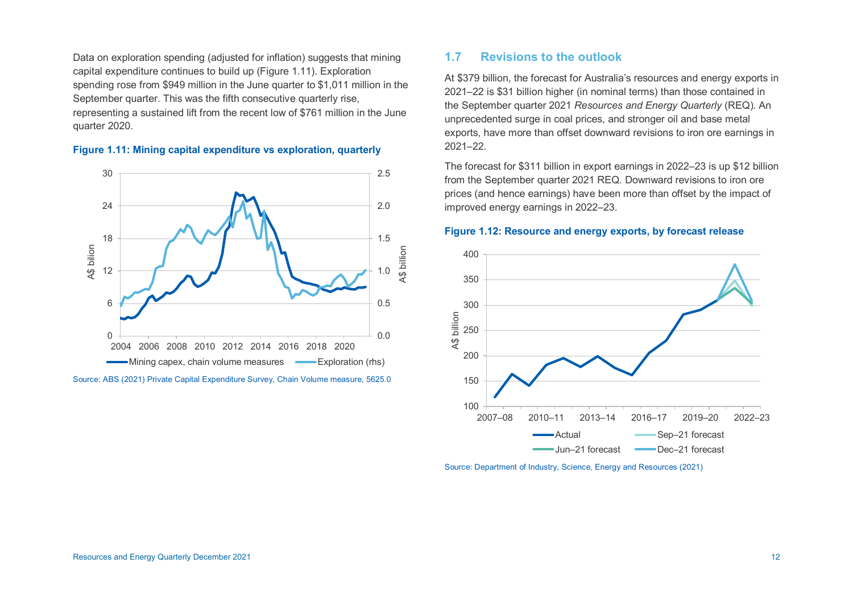Data on exploration spending (adjusted for inflation) suggests that mining capital expenditure continues to build up (Figure 1.11). Exploration spending rose from \$949 million in the June quarter to \$1,011 million in the September quarter. This was the fifth consecutive quarterly rise, representing a sustained lift from the recent low of \$761 million in the June quarter 2020.



**Figure 1.11: Mining capital expenditure vs exploration, quarterly** 

#### Source: ABS (2021) Private Capital Expenditure Survey, Chain Volume measure, 5625.0

# **1.7 Revisions to the outlook**

At \$379 billion, the forecast for Australia's resources and energy exports in 2021–22 is \$31 billion higher (in nominal terms) than those contained in the September quarter 2021 *Resources and Energy Quarterly* (REQ). An unprecedented surge in coal prices, and stronger oil and base metal exports, have more than offset downward revisions to iron ore earnings in 2021–22.

The forecast for \$311 billion in export earnings in 2022–23 is up \$12 billion from the September quarter 2021 REQ. Downward revisions to iron ore prices (and hence earnings) have been more than offset by the impact of improved energy earnings in 2022–23.

## **Figure 1.12: Resource and energy exports, by forecast release**



Source: Department of Industry, Science, Energy and Resources (2021)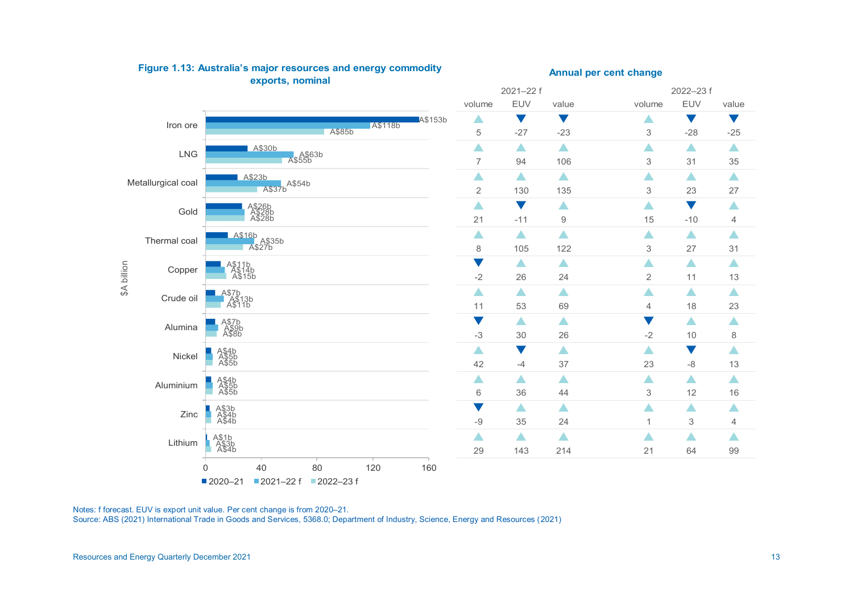

#### **Figure 1.13: Australia's major resources and energy commodity <b>Annual per cent change exports, nominal**

Notes: f forecast. EUV is export unit value. Per cent change is from 2020–21. Source: ABS (2021) International Trade in Goods and Services, 5368.0; Department of Industry, Science, Energy and Resources (2021)